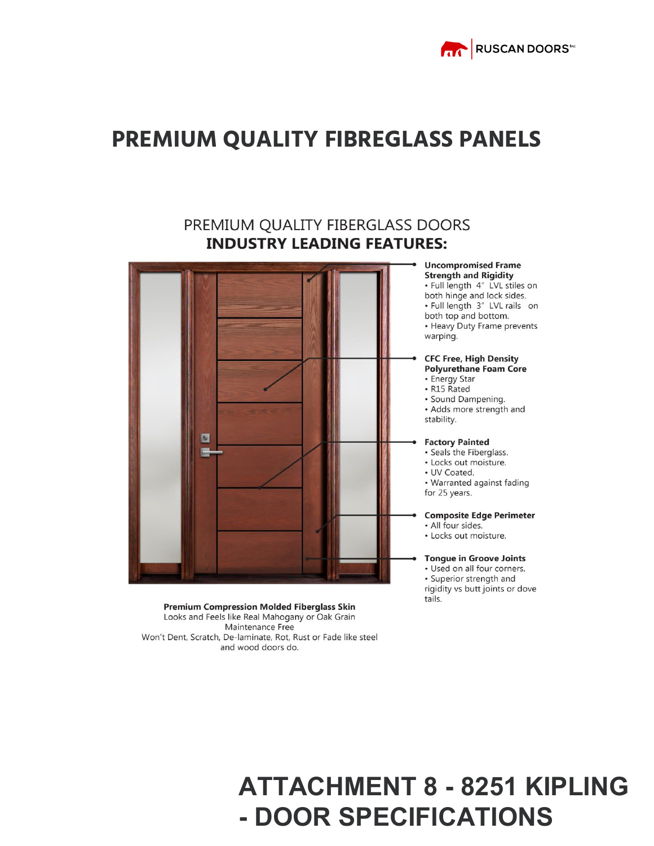

#### **PREMIUM QUALITY FIBREGLASS PANELS**

#### PREMIUM QUALITY FIBERGLASS DOORS **INDUSTRY LEADING FEATURES:**



**Uncompromised Frame Strength and Rigidity** 

· Full length 4" LVL stiles on both hinge and lock sides. · Full length 3" LVL rails on both top and bottom. • Heavy Duty Frame prevents warping.

#### **CFC Free, High Density Polyurethane Foam Core**

• Energy Star

- · R15 Rated
- · Sound Dampening.

• Adds more strength and stability.

**Factory Painted** 

- · Seals the Fiberglass.
- Locks out moisture.
- UV Coated.

• Warranted against fading for 25 years.

**Composite Edge Perimeter** 

- · All four sides.
- Locks out moisture.

**Tongue in Groove Joints** 

• Used on all four corners. • Superior strength and rigidity vs butt joints or dove tails.

**Premium Compression Molded Fiberglass Skin** Looks and Feels like Real Mahogany or Oak Grain Maintenance Free Won't Dent, Scratch, De-laminate, Rot, Rust or Fade like steel and wood doors do.

# **ATTACHMENT 8 - 8251 KIPLING - DOOR SPECIFICATIONS**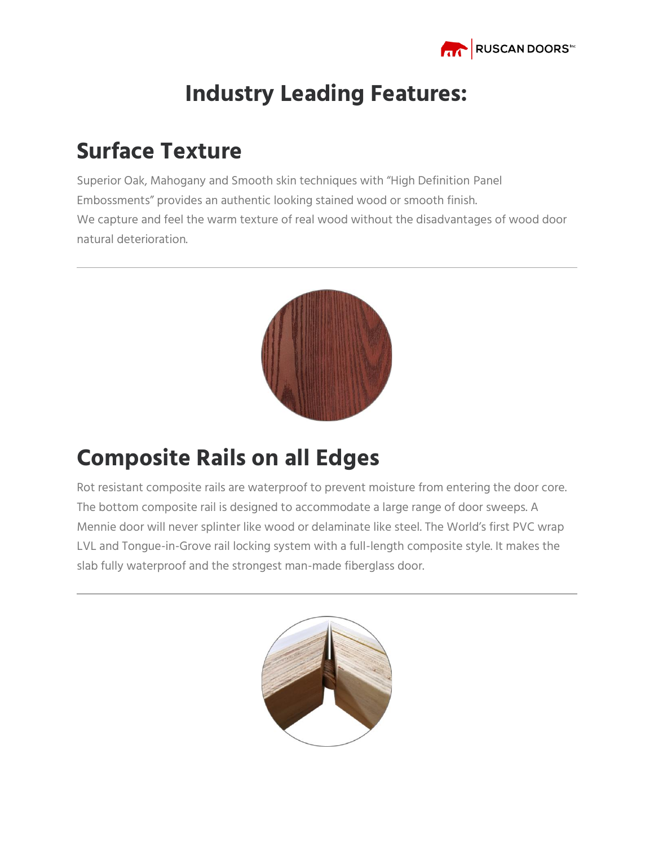

#### **Industry Leading Features:**

#### **Surface Texture**

Superior Oak, Mahogany and Smooth skin techniques with "High Definition Panel Embossments" provides an authentic looking stained wood or smooth finish. We capture and feel the warm texture of real wood without the disadvantages of wood door natural deterioration.



### **Composite Rails on all Edges**

Rot resistant composite rails are waterproof to prevent moisture from entering the door core. The bottom composite rail is designed to accommodate a large range of door sweeps. A Mennie door will never splinter like wood or delaminate like steel. The World's first PVC wrap LVL and Tongue-in-Grove rail locking system with a full-length composite style. It makes the slab fully waterproof and the strongest man-made fiberglass door.

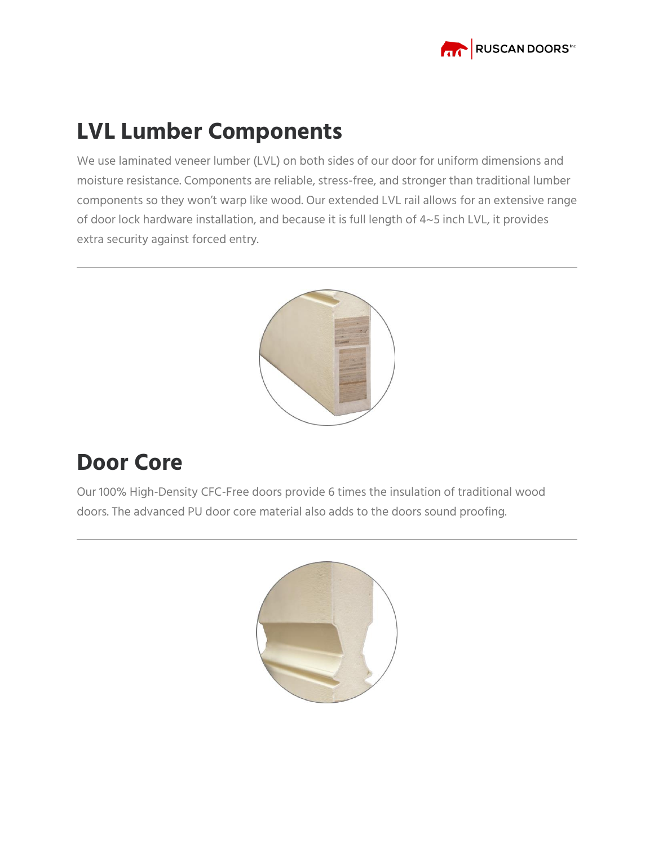

#### **LVL Lumber Components**

We use laminated veneer lumber (LVL) on both sides of our door for uniform dimensions and moisture resistance. Components are reliable, stress-free, and stronger than traditional lumber components so they won't warp like wood. Our extended LVL rail allows for an extensive range of door lock hardware installation, and because it is full length of 4~5 inch LVL, it provides extra security against forced entry.



#### **Door Core**

Our 100% High-Density CFC-Free doors provide 6 times the insulation of traditional wood doors. The advanced PU door core material also adds to the doors sound proofing.

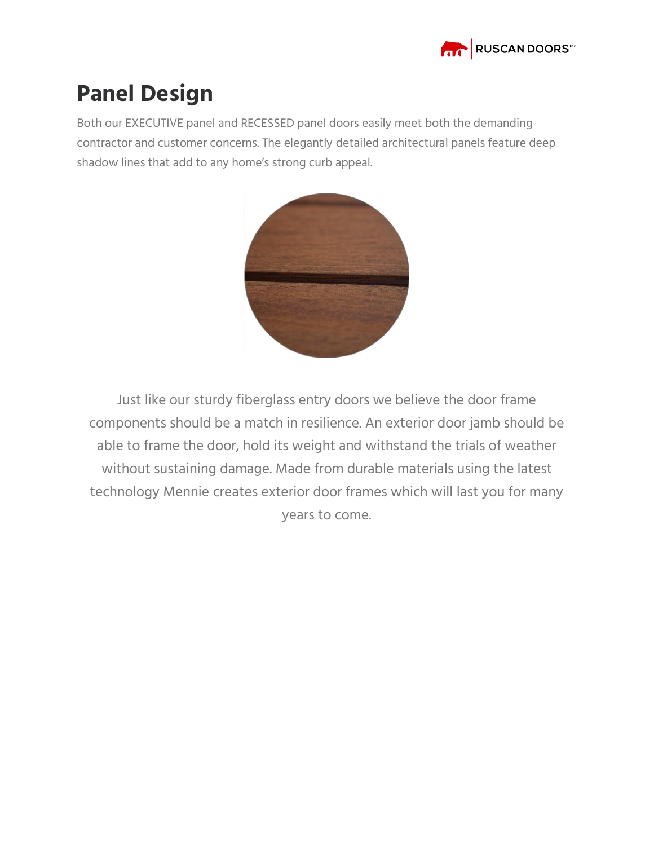

#### **Panel Design**

Both our EXECUTIVE panel and RECESSED panel doors easily meet both the demanding contractor and customer concerns. The elegantly detailed architectural panels feature deep shadow lines that add to any home's strong curb appeal.



Just like our sturdy fiberglass entry doors we believe the door frame components should be a match in resilience. An exterior door jamb should be able to frame the door, hold its weight and withstand the trials of weather without sustaining damage. Made from durable materials using the latest technology Mennie creates exterior door frames which will last you for many years to come.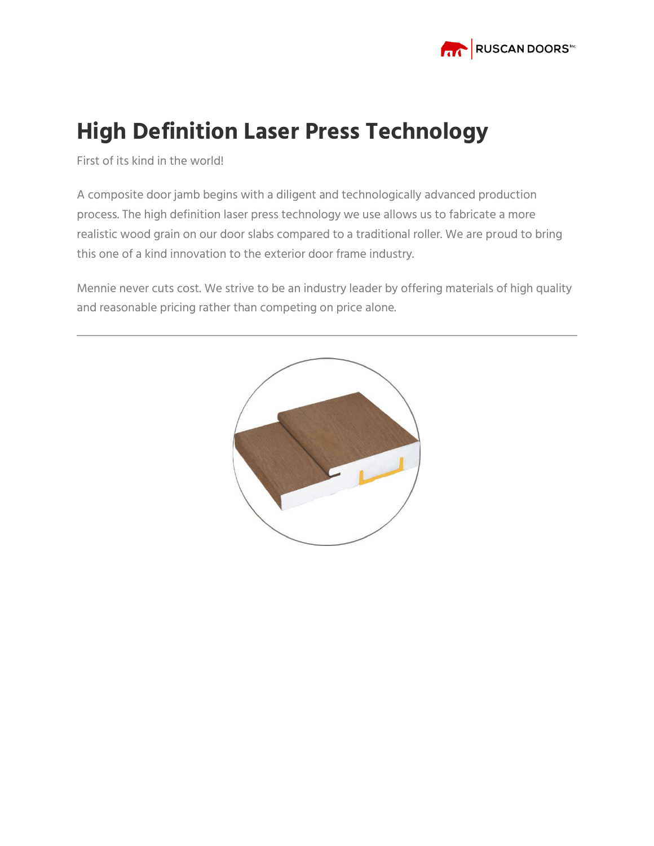

## **High Definition Laser Press Technology**

First of its kind in the world!

A composite door jamb begins with a diligent and technologically advanced production process. The high definition laser press technology we use allows us to fabricate a more realistic wood grain on our door slabs compared to a traditional roller. We are proud to bring this one of a kind innovation to the exterior door frame industry.

Mennie never cuts cost. We strive to be an industry leader by offering materials of high quality and reasonable pricing rather than competing on price alone.

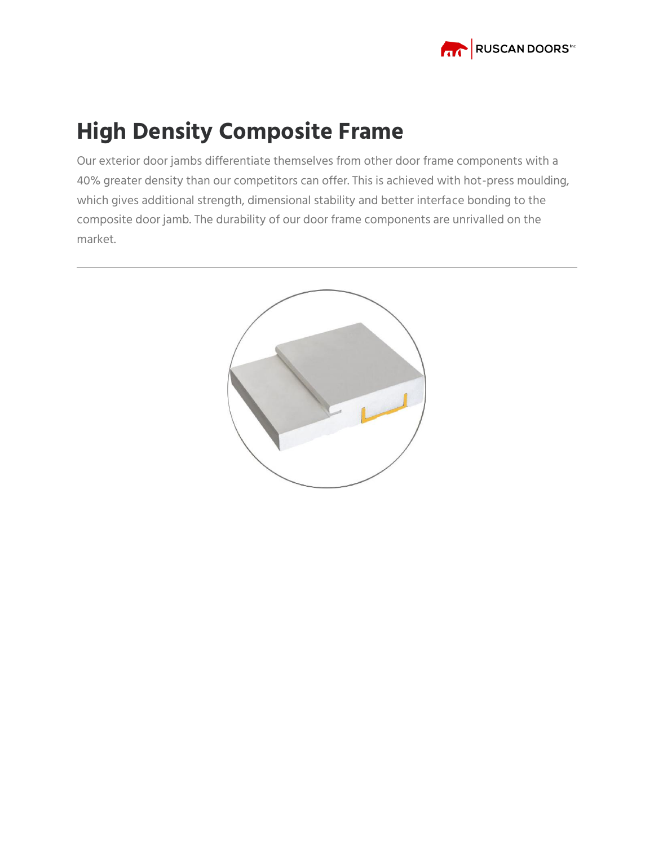

#### **High Density Composite Frame**

Our exterior door jambs differentiate themselves from other door frame components with a 40% greater density than our competitors can offer. This is achieved with hot-press moulding, which gives additional strength, dimensional stability and better interface bonding to the composite door jamb. The durability of our door frame components are unrivalled on the market.